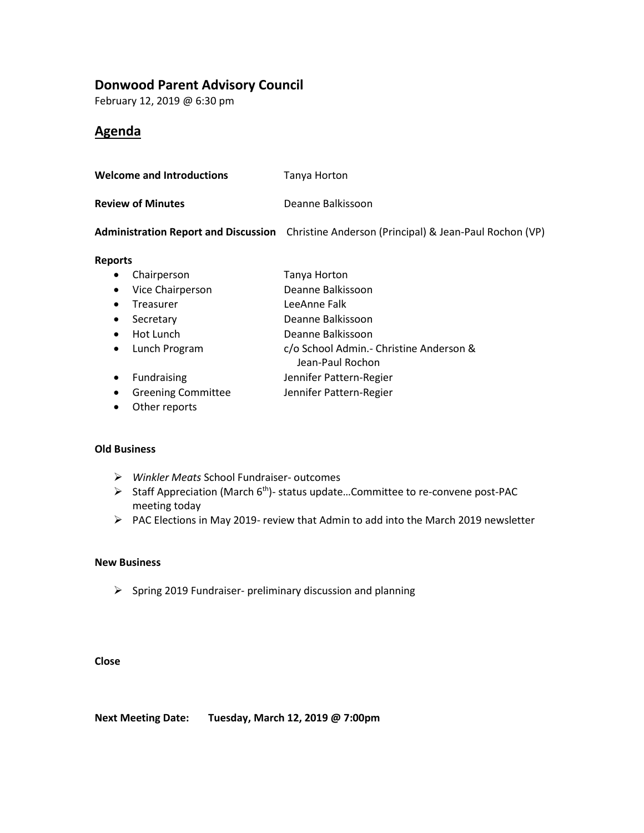## **Donwood Parent Advisory Council**

February 12, 2019 @ 6:30 pm

## **Agenda**

| <b>Welcome and Introductions</b> | Tanya Horton      |
|----------------------------------|-------------------|
| <b>Review of Minutes</b>         | Deanne Balkissoon |

**Administration Report and Discussion** Christine Anderson (Principal) & Jean-Paul Rochon (VP)

#### **Reports**

- Chairperson Tanya Horton
- Vice Chairperson Deanne Balkissoon
- Treasurer LeeAnne Falk
- Secretary Deanne Balkissoon
- Hot Lunch Deanne Balkissoon
- Lunch Program c/o School Admin.- Christine Anderson &
- Jean-Paul Rochon
- Fundraising **Jennifer Pattern-Regier**
- Greening Committee Jennifer Pattern-Regier
- Other reports

#### **Old Business**

- ➢ *Winkler Meats* School Fundraiser- outcomes
- ➢ Staff Appreciation (March 6th)- status update…Committee to re-convene post-PAC meeting today
- ➢ PAC Elections in May 2019- review that Admin to add into the March 2019 newsletter

### **New Business**

➢ Spring 2019 Fundraiser- preliminary discussion and planning

#### **Close**

**Next Meeting Date: Tuesday, March 12, 2019 @ 7:00pm**